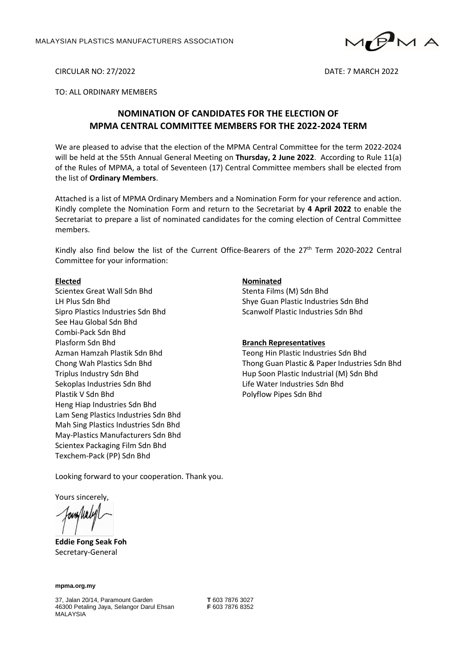

CIRCULAR NO: 27/2022 DATE: 7 MARCH 2022

## TO: ALL ORDINARY MEMBERS

# **NOMINATION OF CANDIDATES FOR THE ELECTION OF MPMA CENTRAL COMMITTEE MEMBERS FOR THE 2022-2024 TERM**

We are pleased to advise that the election of the MPMA Central Committee for the term 2022-2024 will be held at the 55th Annual General Meeting on **Thursday, 2 June 2022**. According to Rule 11(a) of the Rules of MPMA, a total of Seventeen (17) Central Committee members shall be elected from the list of **Ordinary Members**.

Attached is a list of MPMA Ordinary Members and a Nomination Form for your reference and action. Kindly complete the Nomination Form and return to the Secretariat by **4 April 2022** to enable the Secretariat to prepare a list of nominated candidates for the coming election of Central Committee members.

Kindly also find below the list of the Current Office-Bearers of the 27<sup>th</sup> Term 2020-2022 Central Committee for your information:

#### **Elected**

Scientex Great Wall Sdn Bhd LH Plus Sdn Bhd Sipro Plastics Industries Sdn Bhd See Hau Global Sdn Bhd Combi-Pack Sdn Bhd Plasform Sdn Bhd Azman Hamzah Plastik Sdn Bhd Chong Wah Plastics Sdn Bhd Triplus Industry Sdn Bhd Sekoplas Industries Sdn Bhd Plastik V Sdn Bhd Heng Hiap Industries Sdn Bhd Lam Seng Plastics Industries Sdn Bhd Mah Sing Plastics Industries Sdn Bhd May-Plastics Manufacturers Sdn Bhd Scientex Packaging Film Sdn Bhd Texchem-Pack (PP) Sdn Bhd

## **Nominated**

Stenta Films (M) Sdn Bhd Shye Guan Plastic Industries Sdn Bhd Scanwolf Plastic Industries Sdn Bhd

#### **Branch Representatives**

Teong Hin Plastic Industries Sdn Bhd Thong Guan Plastic & Paper Industries Sdn Bhd Hup Soon Plastic Industrial (M) Sdn Bhd Life Water Industries Sdn Bhd Polyflow Pipes Sdn Bhd

Looking forward to your cooperation. Thank you.

Yours sincerely,

owWald

**Eddie Fong Seak Foh** Secretary-General

**mpma.org.my**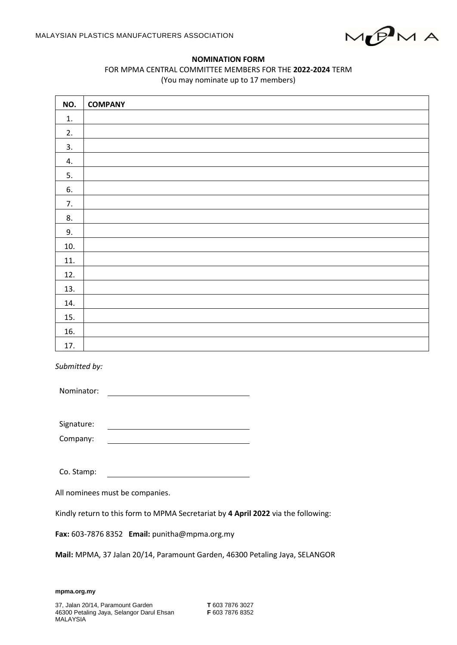

## **NOMINATION FORM**

## FOR MPMA CENTRAL COMMITTEE MEMBERS FOR THE **2022-2024** TERM (You may nominate up to 17 members)

| NO. | <b>COMPANY</b> |
|-----|----------------|
| 1.  |                |
| 2.  |                |
| 3.  |                |
| 4.  |                |
| 5.  |                |
| 6.  |                |
| 7.  |                |
| 8.  |                |
| 9.  |                |
| 10. |                |
| 11. |                |
| 12. |                |
| 13. |                |
| 14. |                |
| 15. |                |
| 16. |                |
| 17. |                |

*Submitted by:*

Nominator:

Signature:

Company:

Co. Stamp:

All nominees must be companies.

Kindly return to this form to MPMA Secretariat by **4 April 2022** via the following:

**Fax:** 603-7876 8352 **Email:** punitha@mpma.org.my

**Mail:** MPMA, 37 Jalan 20/14, Paramount Garden, 46300 Petaling Jaya, SELANGOR

**mpma.org.my**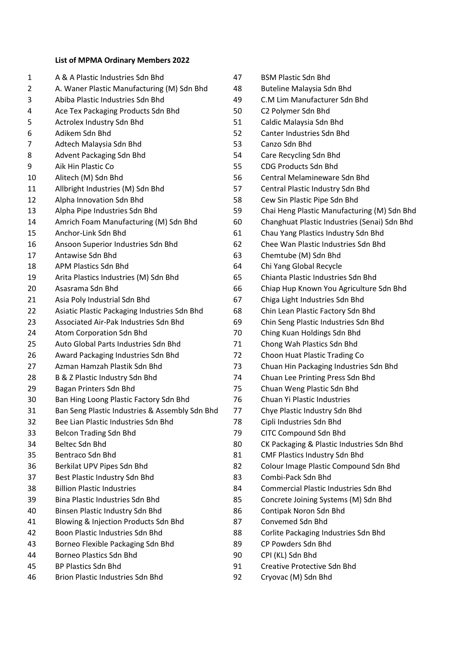# **List of MPMA Ordinary Members 2022**

| 1      | A & A Plastic Industries Sdn Bhd                                               |
|--------|--------------------------------------------------------------------------------|
| 2      | A. Waner Plastic Manufacturing (M) Sdn Bhd<br>Abiba Plastic Industries Sdn Bhd |
| 3<br>4 |                                                                                |
|        | Ace Tex Packaging Products Sdn Bhd                                             |
| 5      | Actrolex Industry Sdn Bhd                                                      |
| 6      | Adikem Sdn Bhd                                                                 |
| 7      | Adtech Malaysia Sdn Bhd                                                        |
| 8      | Advent Packaging Sdn Bhd                                                       |
| 9      | Aik Hin Plastic Co                                                             |
| 10     | Alitech (M) Sdn Bhd                                                            |
| 11     | Allbright Industries (M) Sdn Bhd                                               |
| 12     | Alpha Innovation Sdn Bhd                                                       |
| 13     | Alpha Pipe Industries Sdn Bhd                                                  |
| 14     | Amrich Foam Manufacturing (M) Sdn Bhd                                          |
| 15     | Anchor-Link Sdn Bhd                                                            |
| 16     | Ansoon Superior Industries Sdn Bhd                                             |
| 17     | Antawise Sdn Bhd                                                               |
| 18     | <b>APM Plastics Sdn Bhd</b>                                                    |
| 19     | Arita Plastics Industries (M) Sdn Bhd                                          |
| 20     | Asasrama Sdn Bhd                                                               |
| 21     | Asia Poly Industrial Sdn Bhd                                                   |
| 22     | Asiatic Plastic Packaging Industries Sdn Bhd                                   |
| 23     | Associated Air-Pak Industries Sdn Bhd                                          |
| 24     | Atom Corporation Sdn Bhd                                                       |
| 25     | Auto Global Parts Industries Sdn Bhd                                           |
| 26     | Award Packaging Industries Sdn Bhd                                             |
| 27     | Azman Hamzah Plastik Sdn Bhd                                                   |
| 28     | B & Z Plastic Industry Sdn Bhd                                                 |
| 29     | Bagan Printers Sdn Bhd                                                         |
| 30     | Ban Hing Loong Plastic Factory Sdn Bhd                                         |
| 31     | Ban Seng Plastic Industries & Assembly Sdn Bhd                                 |
| 32     | Bee Lian Plastic Industries Sdn Bhd                                            |
| 33     | <b>Belcon Trading Sdn Bhd</b>                                                  |
| 34     | <b>Beltec Sdn Bhd</b>                                                          |
| 35     | Bentraco Sdn Bhd                                                               |
| 36     | Berkilat UPV Pipes Sdn Bhd                                                     |
| 37     | Best Plastic Industry Sdn Bhd                                                  |
| 38     | <b>Billion Plastic Industries</b>                                              |
| 39     | <b>Bina Plastic Industries Sdn Bhd</b>                                         |
| 40     | Binsen Plastic Industry Sdn Bhd                                                |
| 41     | Blowing & Injection Products Sdn Bhd                                           |
| 42     | Boon Plastic Industries Sdn Bhd                                                |
| 43     | Borneo Flexible Packaging Sdn Bhd                                              |
| 44     | <b>Borneo Plastics Sdn Bhd</b>                                                 |
| 45     | <b>BP Plastics Sdn Bhd</b>                                                     |
|        |                                                                                |

Brion Plastic Industries Sdn Bhd

| 47 | <b>BSM Plastic Sdn Bhd</b>                   |
|----|----------------------------------------------|
| 48 | <b>Buteline Malaysia Sdn Bhd</b>             |
| 49 | C.M Lim Manufacturer Sdn Bhd                 |
| 50 | C2 Polymer Sdn Bhd                           |
| 51 | Caldic Malaysia Sdn Bhd                      |
| 52 | Canter Industries Sdn Bhd                    |
| 53 | Canzo Sdn Bhd                                |
| 54 | Care Recycling Sdn Bhd                       |
| 55 | <b>CDG Products Sdn Bhd</b>                  |
| 56 | <b>Central Melamineware Sdn Bhd</b>          |
| 57 | Central Plastic Industry Sdn Bhd             |
| 58 | Cew Sin Plastic Pipe Sdn Bhd                 |
| 59 | Chai Heng Plastic Manufacturing (M) Sdn Bhd  |
| 60 | Changhuat Plastic Industries (Senai) Sdn Bhd |
| 61 | Chau Yang Plastics Industry Sdn Bhd          |
| 62 | Chee Wan Plastic Industries Sdn Bhd          |
| 63 | Chemtube (M) Sdn Bhd                         |
| 64 | Chi Yang Global Recycle                      |
| 65 | Chianta Plastic Industries Sdn Bhd           |
| 66 | Chiap Hup Known You Agriculture Sdn Bhd      |
| 67 | Chiga Light Industries Sdn Bhd               |
| 68 | Chin Lean Plastic Factory Sdn Bhd            |
| 69 | Chin Seng Plastic Industries Sdn Bhd         |
| 70 | Ching Kuan Holdings Sdn Bhd                  |
| 71 | Chong Wah Plastics Sdn Bhd                   |
| 72 | Choon Huat Plastic Trading Co                |
| 73 | Chuan Hin Packaging Industries Sdn Bhd       |
| 74 | Chuan Lee Printing Press Sdn Bhd             |
| 75 | Chuan Weng Plastic Sdn Bhd                   |
| 76 | Chuan Yi Plastic Industries                  |
| 77 | Chye Plastic Industry Sdn Bhd                |
| 78 | Cipli Industries Sdn Bhd                     |
| 79 | <b>CITC Compound Sdn Bhd</b>                 |
| 80 | CK Packaging & Plastic Industries Sdn Bhd    |
| 81 | <b>CMF Plastics Industry Sdn Bhd</b>         |
| 82 | Colour Image Plastic Compound Sdn Bhd        |
| 83 | Combi-Pack Sdn Bhd                           |
| 84 | <b>Commercial Plastic Industries Sdn Bhd</b> |
| 85 | Concrete Joining Systems (M) Sdn Bhd         |
| 86 | Contipak Noron Sdn Bhd                       |
| 87 | Convemed Sdn Bhd                             |
| 88 | Corlite Packaging Industries Sdn Bhd         |
| 89 | CP Powders Sdn Bhd                           |
| 90 | CPI (KL) Sdn Bhd                             |
| 91 | <b>Creative Protective Sdn Bhd</b>           |

Cryovac (M) Sdn Bhd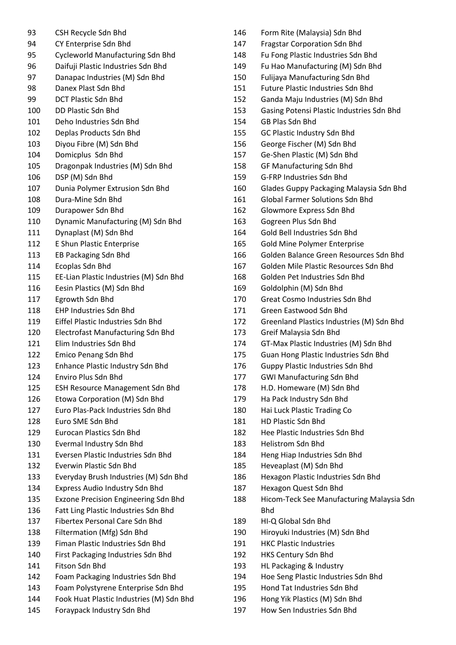CSH Recycle Sdn Bhd CY Enterprise Sdn Bhd Cycleworld Manufacturing Sdn Bhd Daifuji Plastic Industries Sdn Bhd Danapac Industries (M) Sdn Bhd Danex Plast Sdn Bhd DCT Plastic Sdn Bhd DD Plastic Sdn Bhd Deho Industries Sdn Bhd Deplas Products Sdn Bhd Diyou Fibre (M) Sdn Bhd Domicplus Sdn Bhd Dragonpak Industries (M) Sdn Bhd DSP (M) Sdn Bhd Dunia Polymer Extrusion Sdn Bhd Dura-Mine Sdn Bhd Durapower Sdn Bhd Dynamic Manufacturing (M) Sdn Bhd Dynaplast (M) Sdn Bhd E Shun Plastic Enterprise EB Packaging Sdn Bhd Ecoplas Sdn Bhd EE-Lian Plastic Industries (M) Sdn Bhd Eesin Plastics (M) Sdn Bhd Egrowth Sdn Bhd EHP Industries Sdn Bhd Eiffel Plastic Industries Sdn Bhd Electrofast Manufacturing Sdn Bhd Elim Industries Sdn Bhd Emico Penang Sdn Bhd Enhance Plastic Industry Sdn Bhd Enviro Plus Sdn Bhd ESH Resource Management Sdn Bhd Etowa Corporation (M) Sdn Bhd Euro Plas-Pack Industries Sdn Bhd Euro SME Sdn Bhd Eurocan Plastics Sdn Bhd Evermal Industry Sdn Bhd Eversen Plastic Industries Sdn Bhd Everwin Plastic Sdn Bhd Everyday Brush Industries (M) Sdn Bhd Express Audio Industry Sdn Bhd Exzone Precision Engineering Sdn Bhd Fatt Ling Plastic Industries Sdn Bhd Fibertex Personal Care Sdn Bhd Filtermation (Mfg) Sdn Bhd Fiman Plastic Industries Sdn Bhd First Packaging Industries Sdn Bhd Fitson Sdn Bhd Foam Packaging Industries Sdn Bhd Foam Polystyrene Enterprise Sdn Bhd Fook Huat Plastic Industries (M) Sdn Bhd Foraypack Industry Sdn Bhd

- Form Rite (Malaysia) Sdn Bhd Fragstar Corporation Sdn Bhd Fu Fong Plastic Industries Sdn Bhd Fu Hao Manufacturing (M) Sdn Bhd Fulijaya Manufacturing Sdn Bhd Future Plastic Industries Sdn Bhd Ganda Maju Industries (M) Sdn Bhd Gasing Potensi Plastic Industries Sdn Bhd GB Plas Sdn Bhd GC Plastic Industry Sdn Bhd George Fischer (M) Sdn Bhd Ge-Shen Plastic (M) Sdn Bhd GF Manufacturing Sdn Bhd G-FRP Industries Sdn Bhd Glades Guppy Packaging Malaysia Sdn Bhd Global Farmer Solutions Sdn Bhd Glowmore Express Sdn Bhd Gogreen Plus Sdn Bhd Gold Bell Industries Sdn Bhd Gold Mine Polymer Enterprise Golden Balance Green Resources Sdn Bhd Golden Mile Plastic Resources Sdn Bhd Golden Pet Industries Sdn Bhd Goldolphin (M) Sdn Bhd Great Cosmo Industries Sdn Bhd Green Eastwood Sdn Bhd Greenland Plastics Industries (M) Sdn Bhd Greif Malaysia Sdn Bhd GT-Max Plastic Industries (M) Sdn Bhd Guan Hong Plastic Industries Sdn Bhd Guppy Plastic Industries Sdn Bhd GWI Manufacturing Sdn Bhd H.D. Homeware (M) Sdn Bhd Ha Pack Industry Sdn Bhd Hai Luck Plastic Trading Co HD Plastic Sdn Bhd Hee Plastic Industries Sdn Bhd Helistrom Sdn Bhd Heng Hiap Industries Sdn Bhd Heveaplast (M) Sdn Bhd Hexagon Plastic Industries Sdn Bhd Hexagon Quest Sdn Bhd Hicom-Teck See Manufacturing Malaysia Sdn Bhd HI-Q Global Sdn Bhd Hiroyuki Industries (M) Sdn Bhd HKC Plastic Industries HKS Century Sdn Bhd HL Packaging & Industry Hoe Seng Plastic Industries Sdn Bhd Hond Tat Industries Sdn Bhd
- Hong Yik Plastics (M) Sdn Bhd
- How Sen Industries Sdn Bhd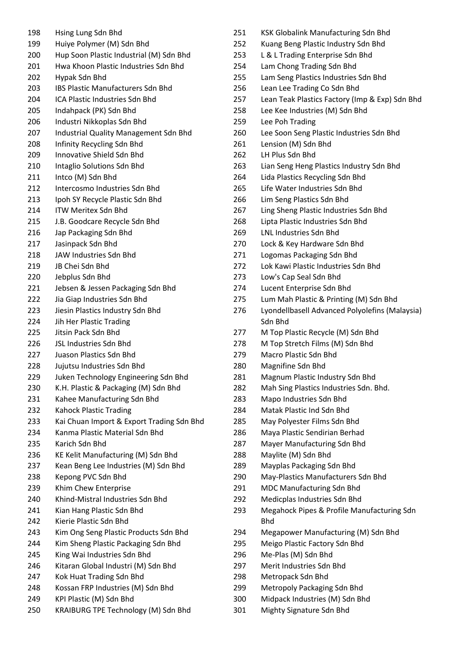| 198 | Hsing Lung Sdn Bhd                        |
|-----|-------------------------------------------|
| 199 | Huiye Polymer (M) Sdn Bhd                 |
| 200 | Hup Soon Plastic Industrial (M) Sdn Bhd   |
| 201 | Hwa Khoon Plastic Industries Sdn Bhd      |
| 202 | Hypak Sdn Bhd                             |
| 203 | <b>IBS Plastic Manufacturers Sdn Bhd</b>  |
| 204 | <b>ICA Plastic Industries Sdn Bhd</b>     |
| 205 | Indahpack (PK) Sdn Bhd                    |
| 206 | Industri Nikkoplas Sdn Bhd                |
| 207 | Industrial Quality Management Sdn Bhd     |
| 208 | Infinity Recycling Sdn Bhd                |
| 209 | Innovative Shield Sdn Bhd                 |
| 210 | Intaglio Solutions Sdn Bhd                |
| 211 | Intco (M) Sdn Bhd                         |
| 212 | Intercosmo Industries Sdn Bhd             |
|     |                                           |
| 213 | Ipoh SY Recycle Plastic Sdn Bhd           |
| 214 | <b>ITW Meritex Sdn Bhd</b>                |
| 215 | J.B. Goodcare Recycle Sdn Bhd             |
| 216 | Jap Packaging Sdn Bhd                     |
| 217 | Jasinpack Sdn Bhd                         |
| 218 | JAW Industries Sdn Bhd                    |
| 219 | JB Chei Sdn Bhd                           |
| 220 | Jebplus Sdn Bhd                           |
| 221 | Jebsen & Jessen Packaging Sdn Bhd         |
| 222 | Jia Giap Industries Sdn Bhd               |
| 223 | Jiesin Plastics Industry Sdn Bhd          |
| 224 | Jih Her Plastic Trading                   |
| 225 | Jitsin Pack Sdn Bhd                       |
| 226 | <b>JSL Industries Sdn Bhd</b>             |
| 227 | Juason Plastics Sdn Bhd                   |
| 228 | Jujutsu Industries Sdn Bhd                |
| 229 | Juken Technology Engineering Sdn Bhd      |
| 230 | K.H. Plastic & Packaging (M) Sdn Bhd      |
| 231 | Kahee Manufacturing Sdn Bhd               |
| 232 | <b>Kahock Plastic Trading</b>             |
| 233 | Kai Chuan Import & Export Trading Sdn Bhd |
| 234 | Kanma Plastic Material Sdn Bhd            |
| 235 | Karich Sdn Bhd                            |
| 236 | KE Kelit Manufacturing (M) Sdn Bhd        |
| 237 | Kean Beng Lee Industries (M) Sdn Bhd      |
| 238 | Kepong PVC Sdn Bhd                        |
| 239 | Khim Chew Enterprise                      |
| 240 | Khind-Mistral Industries Sdn Bhd          |
| 241 | Kian Hang Plastic Sdn Bhd                 |
| 242 | Kierie Plastic Sdn Bhd                    |
| 243 | Kim Ong Seng Plastic Products Sdn Bhd     |
| 244 |                                           |
|     | Kim Sheng Plastic Packaging Sdn Bhd       |
| 245 | King Wai Industries Sdn Bhd               |
| 246 | Kitaran Global Industri (M) Sdn Bhd       |
| 247 | Kok Huat Trading Sdn Bhd                  |
| 248 | Kossan FRP Industries (M) Sdn Bhd         |
| 249 | KPI Plastic (M) Sdn Bhd                   |
| 250 | KRAIBURG TPE Technology (M) Sdn Bhd       |

| 251 | KSK Globalink Manufacturing Sdn Bhd                      |
|-----|----------------------------------------------------------|
| 252 | Kuang Beng Plastic Industry Sdn Bhd                      |
| 253 | L & L Trading Enterprise Sdn Bhd                         |
| 254 | Lam Chong Trading Sdn Bhd                                |
| 255 | Lam Seng Plastics Industries Sdn Bhd                     |
| 256 | Lean Lee Trading Co Sdn Bhd                              |
| 257 | Lean Teak Plastics Factory (Imp & Exp) Sdn Bhd           |
| 258 | Lee Kee Industries (M) Sdn Bhd                           |
| 259 | Lee Poh Trading                                          |
| 260 | Lee Soon Seng Plastic Industries Sdn Bhd                 |
| 261 | Lension (M) Sdn Bhd                                      |
| 262 | LH Plus Sdn Bhd                                          |
| 263 | Lian Seng Heng Plastics Industry Sdn Bhd                 |
| 264 | Lida Plastics Recycling Sdn Bhd                          |
| 265 | Life Water Industries Sdn Bhd                            |
| 266 | Lim Seng Plastics Sdn Bhd                                |
| 267 | Ling Sheng Plastic Industries Sdn Bhd                    |
| 268 | Lipta Plastic Industries Sdn Bhd                         |
| 269 | <b>LNL Industries Sdn Bhd</b>                            |
| 270 | Lock & Key Hardware Sdn Bhd                              |
| 271 | Logomas Packaging Sdn Bhd                                |
| 272 | Lok Kawi Plastic Industries Sdn Bhd                      |
| 273 | Low's Cap Seal Sdn Bhd                                   |
| 274 | Lucent Enterprise Sdn Bhd                                |
|     |                                                          |
| 275 | Lum Mah Plastic & Printing (M) Sdn Bhd                   |
|     |                                                          |
| 276 | Lyondellbasell Advanced Polyolefins (Malaysia)           |
|     | Sdn Bhd                                                  |
| 277 | M Top Plastic Recycle (M) Sdn Bhd                        |
| 278 | M Top Stretch Films (M) Sdn Bhd                          |
| 279 | <b>Macro Plastic Sdn Bhd</b>                             |
| 280 | Magnifine Sdn Bhd                                        |
| 281 | Magnum Plastic Industry Sdn Bhd                          |
| 282 | Mah Sing Plastics Industries Sdn. Bhd.                   |
| 283 | Mapo Industries Sdn Bhd                                  |
| 284 | Matak Plastic Ind Sdn Bhd                                |
| 285 | May Polyester Films Sdn Bhd                              |
| 286 | Maya Plastic Sendirian Berhad                            |
| 287 | Mayer Manufacturing Sdn Bhd                              |
| 288 | Maylite (M) Sdn Bhd                                      |
| 289 | Mayplas Packaging Sdn Bhd                                |
| 290 | May-Plastics Manufacturers Sdn Bhd                       |
| 291 | MDC Manufacturing Sdn Bhd                                |
| 292 | Medicplas Industries Sdn Bhd                             |
| 293 | Megahock Pipes & Profile Manufacturing Sdn<br><b>Bhd</b> |
| 294 | Megapower Manufacturing (M) Sdn Bhd                      |
| 295 | Meigo Plastic Factory Sdn Bhd                            |
| 296 | Me-Plas (M) Sdn Bhd                                      |
| 297 | Merit Industries Sdn Bhd                                 |
| 298 | Metropack Sdn Bhd                                        |

- Midpack Industries (M) Sdn Bhd
- Mighty Signature Sdn Bhd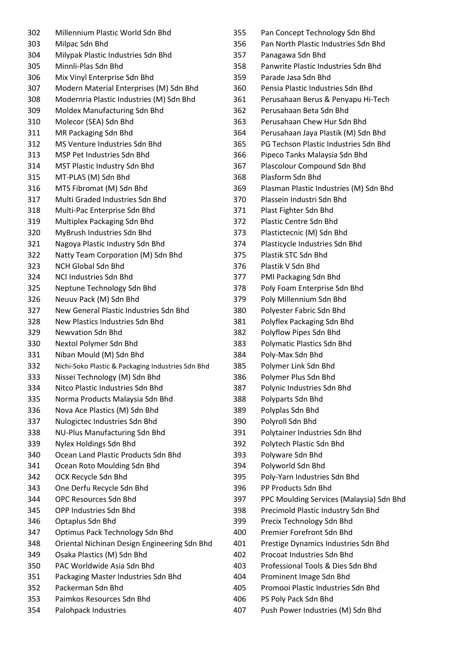| Millennium Plastic World Sdn Bhd                                           | 355                                                                                                                                                                                                                                                                             |
|----------------------------------------------------------------------------|---------------------------------------------------------------------------------------------------------------------------------------------------------------------------------------------------------------------------------------------------------------------------------|
| Milpac Sdn Bhd                                                             | 356                                                                                                                                                                                                                                                                             |
| Milypak Plastic Industries Sdn Bhd                                         | 357                                                                                                                                                                                                                                                                             |
| Minnli-Plas Sdn Bhd                                                        | 358                                                                                                                                                                                                                                                                             |
| Mix Vinyl Enterprise Sdn Bhd                                               | 359                                                                                                                                                                                                                                                                             |
| Modern Material Enterprises (M) Sdn Bhd                                    | 360                                                                                                                                                                                                                                                                             |
| Modernria Plastic Industries (M) Sdn Bhd                                   | 361                                                                                                                                                                                                                                                                             |
| Moldex Manufacturing Sdn Bhd                                               | 362                                                                                                                                                                                                                                                                             |
| Molecor (SEA) Sdn Bhd                                                      | 363                                                                                                                                                                                                                                                                             |
| MR Packaging Sdn Bhd                                                       | 364                                                                                                                                                                                                                                                                             |
| MS Venture Industries Sdn Bhd                                              | 365                                                                                                                                                                                                                                                                             |
| MSP Pet Industries Sdn Bhd                                                 | 366                                                                                                                                                                                                                                                                             |
| MST Plastic Industry Sdn Bhd                                               | 367                                                                                                                                                                                                                                                                             |
| MT-PLAS (M) Sdn Bhd                                                        | 368                                                                                                                                                                                                                                                                             |
| MTS Fibromat (M) Sdn Bhd                                                   | 369                                                                                                                                                                                                                                                                             |
| Multi Graded Industries Sdn Bhd                                            | 370                                                                                                                                                                                                                                                                             |
|                                                                            | 371                                                                                                                                                                                                                                                                             |
| Multiplex Packaging Sdn Bhd                                                | 372                                                                                                                                                                                                                                                                             |
| MyBrush Industries Sdn Bhd                                                 | 373                                                                                                                                                                                                                                                                             |
|                                                                            | 374                                                                                                                                                                                                                                                                             |
| Natty Team Corporation (M) Sdn Bhd                                         | 375                                                                                                                                                                                                                                                                             |
| <b>NCH Global Sdn Bhd</b>                                                  | 376                                                                                                                                                                                                                                                                             |
| NCI Industries Sdn Bhd                                                     | 377                                                                                                                                                                                                                                                                             |
| Neptune Technology Sdn Bhd                                                 | 378                                                                                                                                                                                                                                                                             |
| Neuuv Pack (M) Sdn Bhd                                                     | 379                                                                                                                                                                                                                                                                             |
| New General Plastic Industries Sdn Bhd                                     | 380                                                                                                                                                                                                                                                                             |
| New Plastics Industries Sdn Bhd                                            | 381                                                                                                                                                                                                                                                                             |
| <b>Newvation Sdn Bhd</b>                                                   | 382                                                                                                                                                                                                                                                                             |
| Nextol Polymer Sdn Bhd                                                     | 383                                                                                                                                                                                                                                                                             |
|                                                                            | 384                                                                                                                                                                                                                                                                             |
|                                                                            | 385                                                                                                                                                                                                                                                                             |
| Nissei Technology (M) Sdn Bhd                                              | 386                                                                                                                                                                                                                                                                             |
| Nitco Plastic Industries Sdn Bhd                                           | 387                                                                                                                                                                                                                                                                             |
|                                                                            | 388                                                                                                                                                                                                                                                                             |
|                                                                            | 389                                                                                                                                                                                                                                                                             |
| Nulogictec Industries Sdn Bhd                                              | 390                                                                                                                                                                                                                                                                             |
| <b>NU-Plus Manufacturing Sdn Bhd</b>                                       | 391                                                                                                                                                                                                                                                                             |
| Nylex Holdings Sdn Bhd                                                     | 392                                                                                                                                                                                                                                                                             |
| Ocean Land Plastic Products Sdn Bhd                                        | 393                                                                                                                                                                                                                                                                             |
|                                                                            | 394                                                                                                                                                                                                                                                                             |
| OCK Recycle Sdn Bhd                                                        | 395                                                                                                                                                                                                                                                                             |
|                                                                            | 396                                                                                                                                                                                                                                                                             |
| <b>OPC Resources Sdn Bhd</b>                                               | 397                                                                                                                                                                                                                                                                             |
| OPP Industries Sdn Bhd                                                     | 398                                                                                                                                                                                                                                                                             |
| Optaplus Sdn Bhd                                                           | 399                                                                                                                                                                                                                                                                             |
|                                                                            |                                                                                                                                                                                                                                                                                 |
|                                                                            | 400                                                                                                                                                                                                                                                                             |
| Optimus Pack Technology Sdn Bhd                                            | 401                                                                                                                                                                                                                                                                             |
| Oriental Nichinan Design Engineering Sdn Bhd<br>Osaka Plastics (M) Sdn Bhd | 402                                                                                                                                                                                                                                                                             |
| PAC Worldwide Asia Sdn Bhd                                                 | 403                                                                                                                                                                                                                                                                             |
| Packaging Master Industries Sdn Bhd                                        | 404                                                                                                                                                                                                                                                                             |
| Packerman Sdn Bhd                                                          | 405                                                                                                                                                                                                                                                                             |
| Paimkos Resources Sdn Bhd                                                  | 406                                                                                                                                                                                                                                                                             |
|                                                                            | Multi-Pac Enterprise Sdn Bhd<br>Nagoya Plastic Industry Sdn Bhd<br>Niban Mould (M) Sdn Bhd<br>Nichi-Soko Plastic & Packaging Industries Sdn Bhd<br>Norma Products Malaysia Sdn Bhd<br>Nova Ace Plastics (M) Sdn Bhd<br>Ocean Roto Moulding Sdn Bhd<br>One Derfu Recycle Sdn Bhd |

| 355 | Pan Concept Technology Sdn Bhd           |
|-----|------------------------------------------|
| 356 | Pan North Plastic Industries Sdn Bhd     |
| 357 | Panagawa Sdn Bhd                         |
| 358 | Panwrite Plastic Industries Sdn Bhd      |
| 359 | Parade Jasa Sdn Bhd                      |
| 360 | Pensia Plastic Industries Sdn Bhd        |
| 361 | Perusahaan Berus & Penyapu Hi-Tech       |
| 362 | Perusahaan Beta Sdn Bhd                  |
| 363 | Perusahaan Chew Hur Sdn Bhd              |
| 364 | Perusahaan Jaya Plastik (M) Sdn Bhd      |
| 365 | PG Techson Plastic Industries Sdn Bhd    |
| 366 | Pipeco Tanks Malaysia Sdn Bhd            |
| 367 | Plascolour Compound Sdn Bhd              |
| 368 | Plasform Sdn Bhd                         |
| 369 | Plasman Plastic Industries (M) Sdn Bhd   |
| 370 | Plassein Industri Sdn Bhd                |
| 371 | Plast Fighter Sdn Bhd                    |
| 372 | Plastic Centre Sdn Bhd                   |
| 373 | Plastictecnic (M) Sdn Bhd                |
| 374 | Plasticycle Industries Sdn Bhd           |
| 375 | Plastik STC Sdn Bhd                      |
| 376 | Plastik V Sdn Bhd                        |
| 377 | PMI Packaging Sdn Bhd                    |
| 378 | Poly Foam Enterprise Sdn Bhd             |
| 379 | Poly Millennium Sdn Bhd                  |
| 380 | Polyester Fabric Sdn Bhd                 |
| 381 | Polyflex Packaging Sdn Bhd               |
| 382 | Polyflow Pipes Sdn Bhd                   |
| 383 | Polymatic Plastics Sdn Bhd               |
| 384 | Poly-Max Sdn Bhd                         |
| 385 | Polymer Link Sdn Bhd                     |
| 386 | Polymer Plus Sdn Bhd                     |
| 387 | Polynic Industries Sdn Bhd               |
| 388 | Polyparts Sdn Bhd                        |
| 389 | Polyplas Sdn Bhd                         |
| 390 | Polyroll Sdn Bhd                         |
| 391 | Polytainer Industries Sdn Bhd            |
| 392 | Polytech Plastic Sdn Bhd                 |
| 393 | Polyware Sdn Bhd                         |
| 394 | Polyworld Sdn Bhd                        |
| 395 | Poly-Yarn Industries Sdn Bhd             |
| 396 | PP Products Sdn Bhd                      |
| 397 | PPC Moulding Services (Malaysia) Sdn Bhd |
| 398 | Precimold Plastic Industry Sdn Bhd       |
| 399 | Precix Technology Sdn Bhd                |
| 400 | <b>Premier Forefront Sdn Bhd</b>         |
| 401 | Prestige Dynamics Industries Sdn Bhd     |
| 402 | Procoat Industries Sdn Bhd               |
| 403 | Professional Tools & Dies Sdn Bhd        |
| 404 | Prominent Image Sdn Bhd                  |
| 405 | Promooi Plastic Industries Sdn Bhd       |
| 406 | PS Poly Pack Sdn Bhd                     |
|     |                                          |

Push Power Industries (M) Sdn Bhd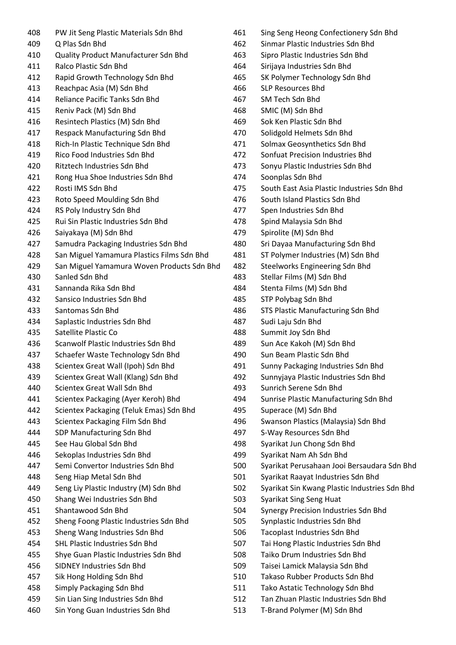PW Jit Seng Plastic Materials Sdn Bhd Q Plas Sdn Bhd Quality Product Manufacturer Sdn Bhd Ralco Plastic Sdn Bhd Rapid Growth Technology Sdn Bhd Reachpac Asia (M) Sdn Bhd Reliance Pacific Tanks Sdn Bhd Reniv Pack (M) Sdn Bhd Resintech Plastics (M) Sdn Bhd Respack Manufacturing Sdn Bhd Rich-In Plastic Technique Sdn Bhd Rico Food Industries Sdn Bhd Ritztech Industries Sdn Bhd Rong Hua Shoe Industries Sdn Bhd Rosti IMS Sdn Bhd Roto Speed Moulding Sdn Bhd RS Poly Industry Sdn Bhd Rui Sin Plastic Industries Sdn Bhd Saiyakaya (M) Sdn Bhd Samudra Packaging Industries Sdn Bhd San Miguel Yamamura Plastics Films Sdn Bhd San Miguel Yamamura Woven Products Sdn Bhd Sanled Sdn Bhd Sannanda Rika Sdn Bhd Sansico Industries Sdn Bhd Santomas Sdn Bhd Saplastic Industries Sdn Bhd Satellite Plastic Co Scanwolf Plastic Industries Sdn Bhd Schaefer Waste Technology Sdn Bhd Scientex Great Wall (Ipoh) Sdn Bhd Scientex Great Wall (Klang) Sdn Bhd Scientex Great Wall Sdn Bhd Scientex Packaging (Ayer Keroh) Bhd Scientex Packaging (Teluk Emas) Sdn Bhd Scientex Packaging Film Sdn Bhd SDP Manufacturing Sdn Bhd See Hau Global Sdn Bhd Sekoplas Industries Sdn Bhd Semi Convertor Industries Sdn Bhd Seng Hiap Metal Sdn Bhd Seng Liy Plastic Industry (M) Sdn Bhd Shang Wei Industries Sdn Bhd Shantawood Sdn Bhd Sheng Foong Plastic Industries Sdn Bhd Sheng Wang Industries Sdn Bhd SHL Plastic Industries Sdn Bhd Shye Guan Plastic Industries Sdn Bhd SIDNEY Industries Sdn Bhd Sik Hong Holding Sdn Bhd Simply Packaging Sdn Bhd Sin Lian Sing Industries Sdn Bhd Sin Yong Guan Industries Sdn Bhd

- Sing Seng Heong Confectionery Sdn Bhd Sinmar Plastic Industries Sdn Bhd Sipro Plastic Industries Sdn Bhd Sirijaya Industries Sdn Bhd SK Polymer Technology Sdn Bhd SLP Resources Bhd SM Tech Sdn Bhd SMIC (M) Sdn Bhd Sok Ken Plastic Sdn Bhd Solidgold Helmets Sdn Bhd Solmax Geosynthetics Sdn Bhd Sonfuat Precision Industries Bhd Sonyu Plastic Industries Sdn Bhd Soonplas Sdn Bhd South East Asia Plastic Industries Sdn Bhd South Island Plastics Sdn Bhd Spen Industries Sdn Bhd Spind Malaysia Sdn Bhd Spirolite (M) Sdn Bhd Sri Dayaa Manufacturing Sdn Bhd ST Polymer Industries (M) Sdn Bhd Steelworks Engineering Sdn Bhd Stellar Films (M) Sdn Bhd Stenta Films (M) Sdn Bhd STP Polybag Sdn Bhd STS Plastic Manufacturing Sdn Bhd Sudi Laju Sdn Bhd Summit Joy Sdn Bhd Sun Ace Kakoh (M) Sdn Bhd Sun Beam Plastic Sdn Bhd Sunny Packaging Industries Sdn Bhd Sunnyjaya Plastic Industries Sdn Bhd Sunrich Serene Sdn Bhd Sunrise Plastic Manufacturing Sdn Bhd Superace (M) Sdn Bhd Swanson Plastics (Malaysia) Sdn Bhd S-Way Resources Sdn Bhd Syarikat Jun Chong Sdn Bhd Syarikat Nam Ah Sdn Bhd Syarikat Perusahaan Jooi Bersaudara Sdn Bhd Syarikat Raayat Industries Sdn Bhd Syarikat Sin Kwang Plastic Industries Sdn Bhd Syarikat Sing Seng Huat Synergy Precision Industries Sdn Bhd Synplastic Industries Sdn Bhd Tacoplast Industries Sdn Bhd Tai Hong Plastic Industries Sdn Bhd Taiko Drum Industries Sdn Bhd Taisei Lamick Malaysia Sdn Bhd Takaso Rubber Products Sdn Bhd Tako Astatic Technology Sdn Bhd Tan Zhuan Plastic Industries Sdn Bhd
- T-Brand Polymer (M) Sdn Bhd